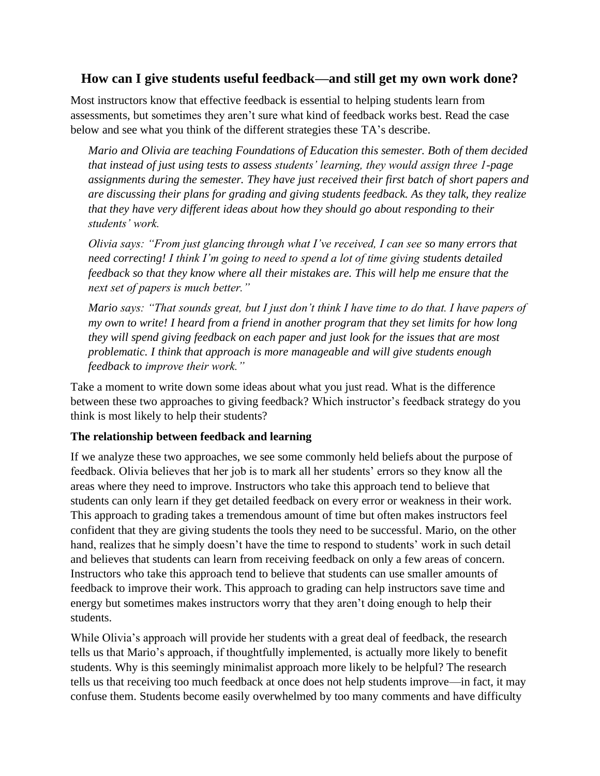## **How can I give students useful feedback—and still get my own work done?**

Most instructors know that effective feedback is essential to helping students learn from assessments, but sometimes they aren't sure what kind of feedback works best. Read the case below and see what you think of the different strategies these TA's describe.

*Mario and Olivia are teaching Foundations of Education this semester. Both of them decided that instead of just using tests to assess students' learning, they would assign three 1-page assignments during the semester. They have just received their first batch of short papers and are discussing their plans for grading and giving students feedback. As they talk, they realize that they have very different ideas about how they should go about responding to their students' work.*

*Olivia says: "From just glancing through what I've received, I can see so many errors that need correcting! I think I'm going to need to spend a lot of time giving students detailed feedback so that they know where all their mistakes are. This will help me ensure that the next set of papers is much better."*

*Mario says: "That sounds great, but I just don't think I have time to do that. I have papers of my own to write! I heard from a friend in another program that they set limits for how long they will spend giving feedback on each paper and just look for the issues that are most problematic. I think that approach is more manageable and will give students enough feedback to improve their work."* 

Take a moment to write down some ideas about what you just read. What is the difference between these two approaches to giving feedback? Which instructor's feedback strategy do you think is most likely to help their students?

#### **The relationship between feedback and learning**

If we analyze these two approaches, we see some commonly held beliefs about the purpose of feedback. Olivia believes that her job is to mark all her students' errors so they know all the areas where they need to improve. Instructors who take this approach tend to believe that students can only learn if they get detailed feedback on every error or weakness in their work. This approach to grading takes a tremendous amount of time but often makes instructors feel confident that they are giving students the tools they need to be successful. Mario, on the other hand, realizes that he simply doesn't have the time to respond to students' work in such detail and believes that students can learn from receiving feedback on only a few areas of concern. Instructors who take this approach tend to believe that students can use smaller amounts of feedback to improve their work. This approach to grading can help instructors save time and energy but sometimes makes instructors worry that they aren't doing enough to help their students.

While Olivia's approach will provide her students with a great deal of feedback, the research tells us that Mario's approach, if thoughtfully implemented, is actually more likely to benefit students. Why is this seemingly minimalist approach more likely to be helpful? The research tells us that receiving too much feedback at once does not help students improve—in fact, it may confuse them. Students become easily overwhelmed by too many comments and have difficulty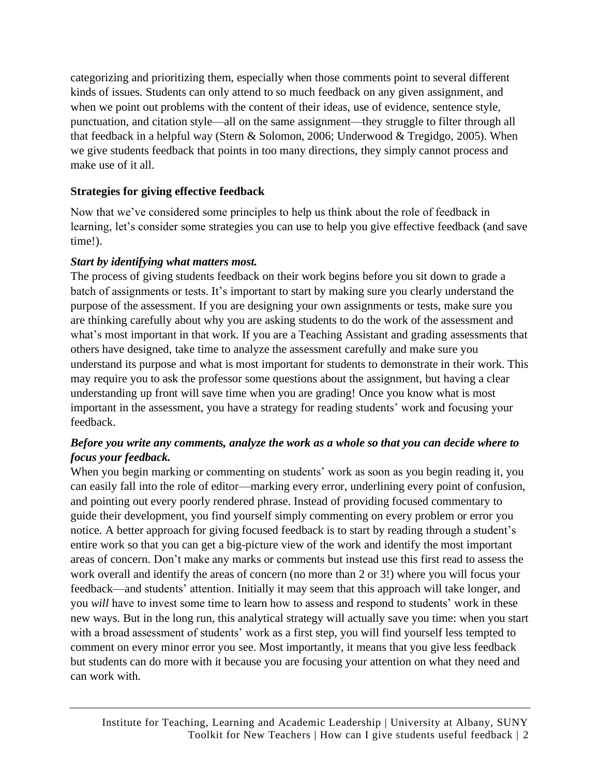categorizing and prioritizing them, especially when those comments point to several different kinds of issues. Students can only attend to so much feedback on any given assignment, and when we point out problems with the content of their ideas, use of evidence, sentence style, punctuation, and citation style—all on the same assignment—they struggle to filter through all that feedback in a helpful way (Stern & Solomon, 2006; Underwood & Tregidgo, 2005). When we give students feedback that points in too many directions, they simply cannot process and make use of it all.

## **Strategies for giving effective feedback**

Now that we've considered some principles to help us think about the role of feedback in learning, let's consider some strategies you can use to help you give effective feedback (and save time!).

# *Start by identifying what matters most.*

The process of giving students feedback on their work begins before you sit down to grade a batch of assignments or tests. It's important to start by making sure you clearly understand the purpose of the assessment. If you are designing your own assignments or tests, make sure you are thinking carefully about why you are asking students to do the work of the assessment and what's most important in that work. If you are a Teaching Assistant and grading assessments that others have designed, take time to analyze the assessment carefully and make sure you understand its purpose and what is most important for students to demonstrate in their work. This may require you to ask the professor some questions about the assignment, but having a clear understanding up front will save time when you are grading! Once you know what is most important in the assessment, you have a strategy for reading students' work and focusing your feedback.

# *Before you write any comments, analyze the work as a whole so that you can decide where to focus your feedback.*

When you begin marking or commenting on students' work as soon as you begin reading it, you can easily fall into the role of editor—marking every error, underlining every point of confusion, and pointing out every poorly rendered phrase. Instead of providing focused commentary to guide their development, you find yourself simply commenting on every problem or error you notice. A better approach for giving focused feedback is to start by reading through a student's entire work so that you can get a big-picture view of the work and identify the most important areas of concern. Don't make any marks or comments but instead use this first read to assess the work overall and identify the areas of concern (no more than 2 or 3!) where you will focus your feedback—and students' attention. Initially it may seem that this approach will take longer, and you *will* have to invest some time to learn how to assess and respond to students' work in these new ways. But in the long run, this analytical strategy will actually save you time: when you start with a broad assessment of students' work as a first step, you will find yourself less tempted to comment on every minor error you see. Most importantly, it means that you give less feedback but students can do more with it because you are focusing your attention on what they need and can work with.